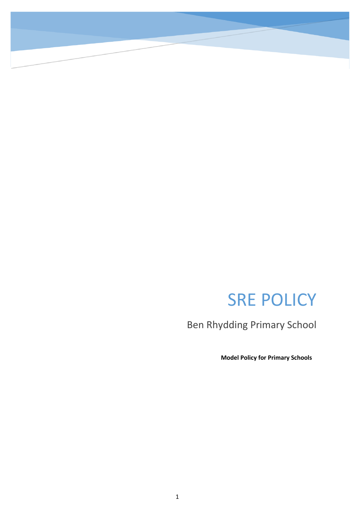# **SRE POLICY**

Ben Rhydding Primary School

**Model Policy for Primary Schools**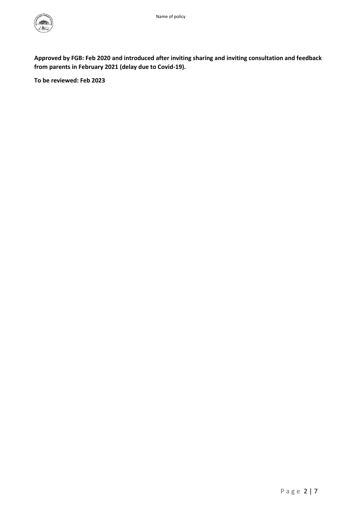

**Approved by FGB: Feb 2020 and introduced after inviting sharing and inviting consultation and feedback from parents in February 2021 (delay due to Covid-19).**

**To be reviewed: Feb 2023**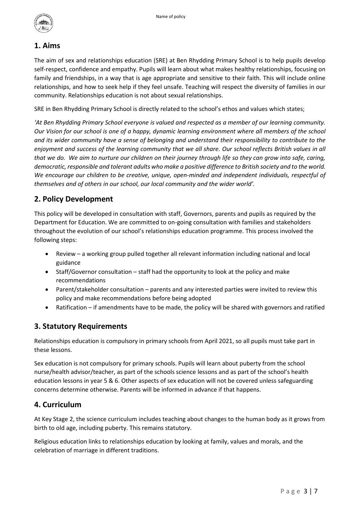

## **1. Aims**

The aim of sex and relationships education (SRE) at Ben Rhydding Primary School is to help pupils develop self-respect, confidence and empathy. Pupils will learn about what makes healthy relationships, focusing on family and friendships, in a way that is age appropriate and sensitive to their faith. This will include online relationships, and how to seek help if they feel unsafe. Teaching will respect the diversity of families in our community. Relationships education is not about sexual relationships.

SRE in Ben Rhydding Primary School is directly related to the school's ethos and values which states;

*'At Ben Rhydding Primary School everyone is valued and respected as a member of our learning community. Our Vision for our school is one of a happy, dynamic learning environment where all members of the school and its wider community have a sense of belonging and understand their responsibility to contribute to the*  enjoyment and success of the learning community that we all share. Our school reflects British values in all *that we do. We aim to nurture our children on their journey through life so they can grow into safe, caring, democratic, responsible and tolerant adults who make a positive difference to British society and to the world. We encourage our children to be creative, unique, open-minded and independent individuals, respectful of themselves and of others in our school, our local community and the wider world'.*

## **2. Policy Development**

This policy will be developed in consultation with staff, Governors, parents and pupils as required by the Department for Education. We are committed to on-going consultation with families and stakeholders throughout the evolution of our school's relationships education programme. This process involved the following steps:

- Review a working group pulled together all relevant information including national and local guidance
- $\bullet$  Staff/Governor consultation staff had the opportunity to look at the policy and make recommendations
- Parent/stakeholder consultation parents and any interested parties were invited to review this policy and make recommendations before being adopted
- Ratification if amendments have to be made, the policy will be shared with governors and ratified

# **3. Statutory Requirements**

Relationships education is compulsory in primary schools from April 2021, so all pupils must take part in these lessons.

Sex education is not compulsory for primary schools. Pupils will learn about puberty from the school nurse/health advisor/teacher, as part of the schools science lessons and as part of the school's health education lessons in year 5 & 6. Other aspects of sex education will not be covered unless safeguarding concerns determine otherwise. Parents will be informed in advance if that happens.

## **4. Curriculum**

At Key Stage 2, the science curriculum includes teaching about changes to the human body as it grows from birth to old age, including puberty. This remains statutory.

Religious education links to relationships education by looking at family, values and morals, and the celebration of marriage in different traditions.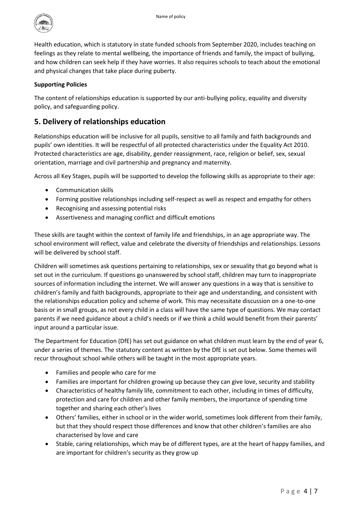

Health education, which is statutory in state funded schools from September 2020, includes teaching on feelings as they relate to mental wellbeing, the importance of friends and family, the impact of bullying, and how children can seek help if they have worries. It also requires schools to teach about the emotional and physical changes that take place during puberty.

#### **Supporting Policies**

The content of relationships education is supported by our anti-bullying policy, equality and diversity policy, and safeguarding policy.

# **5. Delivery of relationships education**

Relationships education will be inclusive for all pupils, sensitive to all family and faith backgrounds and pupils' own identities. It will be respectful of all protected characteristics under the Equality Act 2010. Protected characteristics are age, disability, gender reassignment, race, religion or belief, sex, sexual orientation, marriage and civil partnership and pregnancy and maternity.

Across all Key Stages, pupils will be supported to develop the following skills as appropriate to their age:

- Communication skills
- Forming positive relationships including self-respect as well as respect and empathy for others
- Recognising and assessing potential risks
- Assertiveness and managing conflict and difficult emotions

These skills are taught within the context of family life and friendships, in an age appropriate way. The school environment will reflect, value and celebrate the diversity of friendships and relationships. Lessons will be delivered by school staff.

Children will sometimes ask questions pertaining to relationships, sex or sexuality that go beyond what is set out in the curriculum. If questions go unanswered by school staff, children may turn to inappropriate sources of information including the internet. We will answer any questions in a way that is sensitive to children's family and faith backgrounds, appropriate to their age and understanding, and consistent with the relationships education policy and scheme of work. This may necessitate discussion on a one-to-one basis or in small groups, as not every child in a class will have the same type of questions. We may contact parents if we need guidance about a child's needs or if we think a child would benefit from their parents' input around a particular issue.

The Department for Education (DfE) has set out guidance on what children must learn by the end of year 6, under a series of themes. The statutory content as written by the DfE is set out below. Some themes will recur throughout school while others will be taught in the most appropriate years.

- Families and people who care for me
- Families are important for children growing up because they can give love, security and stability
- Characteristics of healthy family life, commitment to each other, including in times of difficulty, protection and care for children and other family members, the importance of spending time together and sharing each other's lives
- Others' families, either in school or in the wider world, sometimes look different from their family, but that they should respect those differences and know that other children's families are also characterised by love and care
- Stable, caring relationships, which may be of different types, are at the heart of happy families, and are important for children's security as they grow up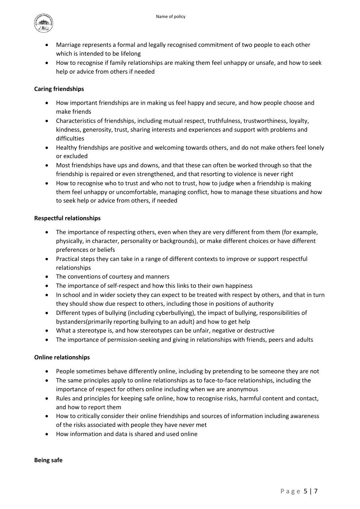

- Marriage represents a formal and legally recognised commitment of two people to each other which is intended to be lifelong
- How to recognise if family relationships are making them feel unhappy or unsafe, and how to seek help or advice from others if needed

## **Caring friendships**

- How important friendships are in making us feel happy and secure, and how people choose and make friends
- Characteristics of friendships, including mutual respect, truthfulness, trustworthiness, loyalty, kindness, generosity, trust, sharing interests and experiences and support with problems and difficulties
- Healthy friendships are positive and welcoming towards others, and do not make others feel lonely or excluded
- Most friendships have ups and downs, and that these can often be worked through so that the friendship is repaired or even strengthened, and that resorting to violence is never right
- How to recognise who to trust and who not to trust, how to judge when a friendship is making them feel unhappy or uncomfortable, managing conflict, how to manage these situations and how to seek help or advice from others, if needed

## **Respectful relationships**

- The importance of respecting others, even when they are very different from them (for example, physically, in character, personality or backgrounds), or make different choices or have different preferences or beliefs
- Practical steps they can take in a range of different contexts to improve or support respectful relationships
- The conventions of courtesy and manners
- The importance of self-respect and how this links to their own happiness
- In school and in wider society they can expect to be treated with respect by others, and that in turn they should show due respect to others, including those in positions of authority
- Different types of bullying (including cyberbullying), the impact of bullying, responsibilities of bystanders(primarily reporting bullying to an adult) and how to get help
- What a stereotype is, and how stereotypes can be unfair, negative or destructive
- The importance of permission-seeking and giving in relationships with friends, peers and adults

#### **Online relationships**

- People sometimes behave differently online, including by pretending to be someone they are not
- The same principles apply to online relationships as to face-to-face relationships, including the importance of respect for others online including when we are anonymous
- Rules and principles for keeping safe online, how to recognise risks, harmful content and contact, and how to report them
- How to critically consider their online friendships and sources of information including awareness of the risks associated with people they have never met
- How information and data is shared and used online

**Being safe**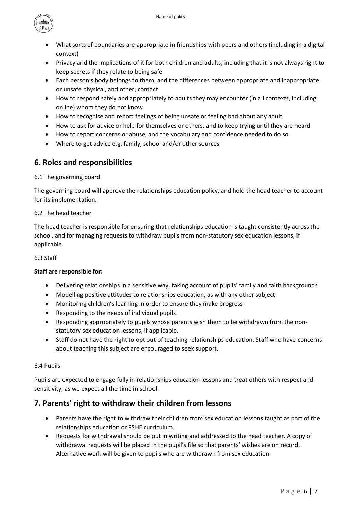

- What sorts of boundaries are appropriate in friendships with peers and others (including in a digital context)
- Privacy and the implications of it for both children and adults; including that it is not always right to keep secrets if they relate to being safe
- Each person's body belongs to them, and the differences between appropriate and inappropriate or unsafe physical, and other, contact
- How to respond safely and appropriately to adults they may encounter (in all contexts, including online) whom they do not know
- How to recognise and report feelings of being unsafe or feeling bad about any adult
- How to ask for advice or help for themselves or others, and to keep trying until they are heard
- How to report concerns or abuse, and the vocabulary and confidence needed to do so
- Where to get advice e.g. family, school and/or other sources

## **6. Roles and responsibilities**

## 6.1 The governing board

The governing board will approve the relationships education policy, and hold the head teacher to account for its implementation.

## 6.2 The head teacher

The head teacher is responsible for ensuring that relationships education is taught consistently across the school, and for managing requests to withdraw pupils from non-statutory sex education lessons, if applicable.

#### 6.3 Staff

## **Staff are responsible for:**

- Delivering relationships in a sensitive way, taking account of pupils' family and faith backgrounds
- Modelling positive attitudes to relationships education, as with any other subject
- Monitoring children's learning in order to ensure they make progress
- Responding to the needs of individual pupils
- Responding appropriately to pupils whose parents wish them to be withdrawn from the nonstatutory sex education lessons, if applicable.
- Staff do not have the right to opt out of teaching relationships education. Staff who have concerns about teaching this subject are encouraged to seek support.

#### 6.4 Pupils

Pupils are expected to engage fully in relationships education lessons and treat others with respect and sensitivity, as we expect all the time in school.

## **7. Parents' right to withdraw their children from lessons**

- Parents have the right to withdraw their children from sex education lessons taught as part of the relationships education or PSHE curriculum.
- Requests for withdrawal should be put in writing and addressed to the head teacher. A copy of withdrawal requests will be placed in the pupil's file so that parents' wishes are on record. Alternative work will be given to pupils who are withdrawn from sex education.